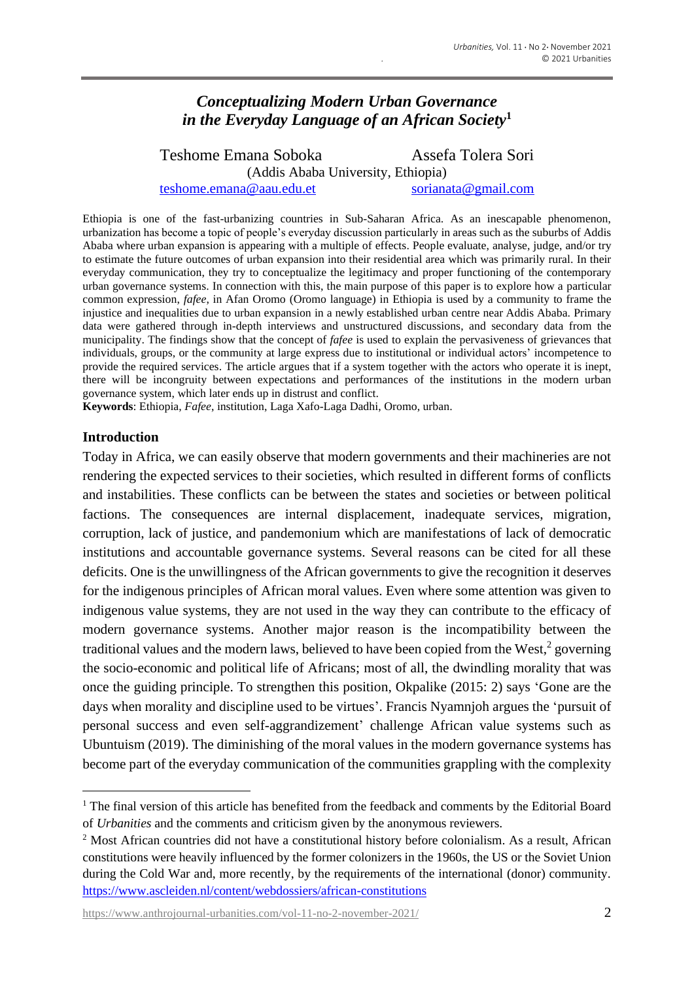# *Conceptualizing Modern Urban Governance in the Everyday Language of an African Society***<sup>1</sup>**

Teshome Emana Soboka Assefa Tolera Sori (Addis Ababa University, Ethiopia) [teshome.emana@aau.edu.et](mailto:teshome.emana@aau.edu.et) [sorianata@gmail.com](mailto:sorianata@gmail.com)

Ethiopia is one of the fast-urbanizing countries in Sub-Saharan Africa. As an inescapable phenomenon, urbanization has become a topic of people's everyday discussion particularly in areas such as the suburbs of Addis Ababa where urban expansion is appearing with a multiple of effects. People evaluate, analyse, judge, and/or try to estimate the future outcomes of urban expansion into their residential area which was primarily rural. In their everyday communication, they try to conceptualize the legitimacy and proper functioning of the contemporary urban governance systems. In connection with this, the main purpose of this paper is to explore how a particular common expression, *fafee*, in Afan Oromo (Oromo language) in Ethiopia is used by a community to frame the injustice and inequalities due to urban expansion in a newly established urban centre near Addis Ababa. Primary data were gathered through in-depth interviews and unstructured discussions, and secondary data from the municipality. The findings show that the concept of *fafee* is used to explain the pervasiveness of grievances that individuals, groups, or the community at large express due to institutional or individual actors' incompetence to provide the required services. The article argues that if a system together with the actors who operate it is inept, there will be incongruity between expectations and performances of the institutions in the modern urban governance system, which later ends up in distrust and conflict.

**Keywords**: Ethiopia, *Fafee*, institution, Laga Xafo-Laga Dadhi, Oromo, urban.

#### **Introduction**

Today in Africa, we can easily observe that modern governments and their machineries are not rendering the expected services to their societies, which resulted in different forms of conflicts and instabilities. These conflicts can be between the states and societies or between political factions. The consequences are internal displacement, inadequate services, migration, corruption, lack of justice, and pandemonium which are manifestations of lack of democratic institutions and accountable governance systems. Several reasons can be cited for all these deficits. One is the unwillingness of the African governments to give the recognition it deserves for the indigenous principles of African moral values. Even where some attention was given to indigenous value systems, they are not used in the way they can contribute to the efficacy of modern governance systems. Another major reason is the incompatibility between the traditional values and the modern laws, believed to have been copied from the West, 2 governing the socio-economic and political life of Africans; most of all, the dwindling morality that was once the guiding principle. To strengthen this position, Okpalike (2015: 2) says 'Gone are the days when morality and discipline used to be virtues'. Francis Nyamnjoh argues the 'pursuit of personal success and even self-aggrandizement' challenge African value systems such as Ubuntuism (2019). The diminishing of the moral values in the modern governance systems has become part of the everyday communication of the communities grappling with the complexity

<sup>&</sup>lt;sup>1</sup> The final version of this article has benefited from the feedback and comments by the Editorial Board of *Urbanities* and the comments and criticism given by the anonymous reviewers.

<sup>2</sup> Most African countries did not have a constitutional history before colonialism. As a result, African constitutions were heavily influenced by the former colonizers in the 1960s, the US or the Soviet Union during the Cold War and, more recently, by the requirements of the international (donor) community. <https://www.ascleiden.nl/content/webdossiers/african-constitutions>

[https://www.anthrojournal-urbanities.com/vol-11-no-2-november-2021/](https://www.anthrojournal-urbanities.com/?page_id=1361&preview=true) 2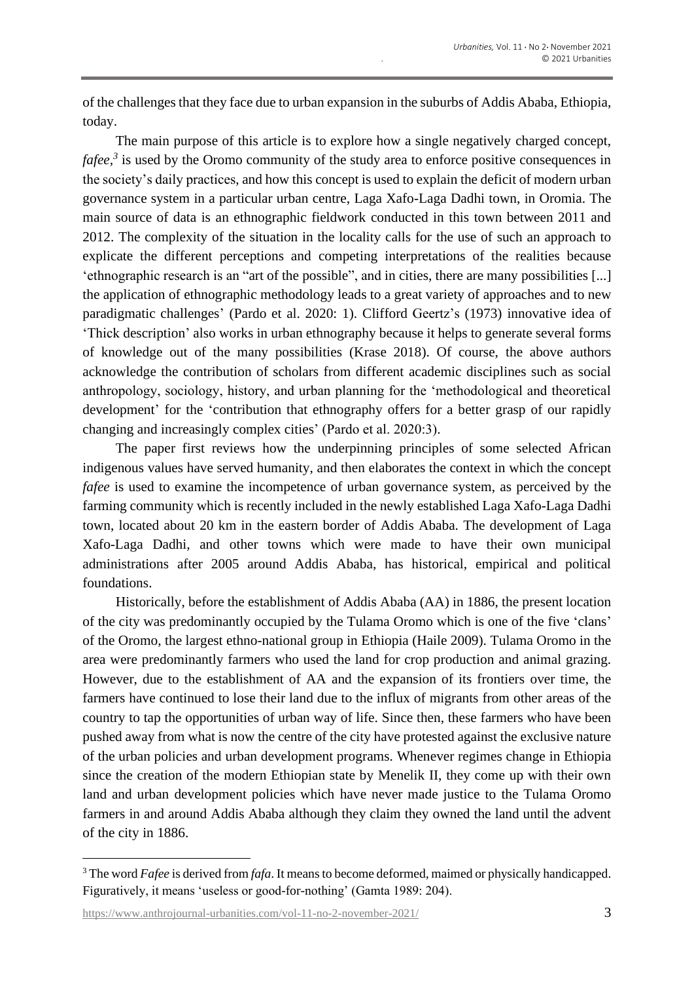of the challenges that they face due to urban expansion in the suburbs of Addis Ababa, Ethiopia, today.

The main purpose of this article is to explore how a single negatively charged concept, *fafee, 3* is used by the Oromo community of the study area to enforce positive consequences in the society's daily practices, and how this concept is used to explain the deficit of modern urban governance system in a particular urban centre, Laga Xafo-Laga Dadhi town, in Oromia. The main source of data is an ethnographic fieldwork conducted in this town between 2011 and 2012. The complexity of the situation in the locality calls for the use of such an approach to explicate the different perceptions and competing interpretations of the realities because 'ethnographic research is an "art of the possible", and in cities, there are many possibilities [...] the application of ethnographic methodology leads to a great variety of approaches and to new paradigmatic challenges' (Pardo et al. 2020: 1). Clifford Geertz's (1973) innovative idea of 'Thick description' also works in urban ethnography because it helps to generate several forms of knowledge out of the many possibilities (Krase 2018). Of course, the above authors acknowledge the contribution of scholars from different academic disciplines such as social anthropology, sociology, history, and urban planning for the 'methodological and theoretical development' for the 'contribution that ethnography offers for a better grasp of our rapidly changing and increasingly complex cities' (Pardo et al. 2020:3).

The paper first reviews how the underpinning principles of some selected African indigenous values have served humanity, and then elaborates the context in which the concept *fafee* is used to examine the incompetence of urban governance system, as perceived by the farming community which is recently included in the newly established Laga Xafo-Laga Dadhi town, located about 20 km in the eastern border of Addis Ababa. The development of Laga Xafo-Laga Dadhi, and other towns which were made to have their own municipal administrations after 2005 around Addis Ababa, has historical, empirical and political foundations.

Historically, before the establishment of Addis Ababa (AA) in 1886, the present location of the city was predominantly occupied by the Tulama Oromo which is one of the five 'clans' of the Oromo, the largest ethno-national group in Ethiopia (Haile 2009). Tulama Oromo in the area were predominantly farmers who used the land for crop production and animal grazing. However, due to the establishment of AA and the expansion of its frontiers over time, the farmers have continued to lose their land due to the influx of migrants from other areas of the country to tap the opportunities of urban way of life. Since then, these farmers who have been pushed away from what is now the centre of the city have protested against the exclusive nature of the urban policies and urban development programs. Whenever regimes change in Ethiopia since the creation of the modern Ethiopian state by Menelik II, they come up with their own land and urban development policies which have never made justice to the Tulama Oromo farmers in and around Addis Ababa although they claim they owned the land until the advent of the city in 1886.

<sup>3</sup> The word *Fafee* is derived from *fafa*. It means to become deformed, maimed or physically handicapped. Figuratively, it means 'useless or good-for-nothing' (Gamta 1989: 204).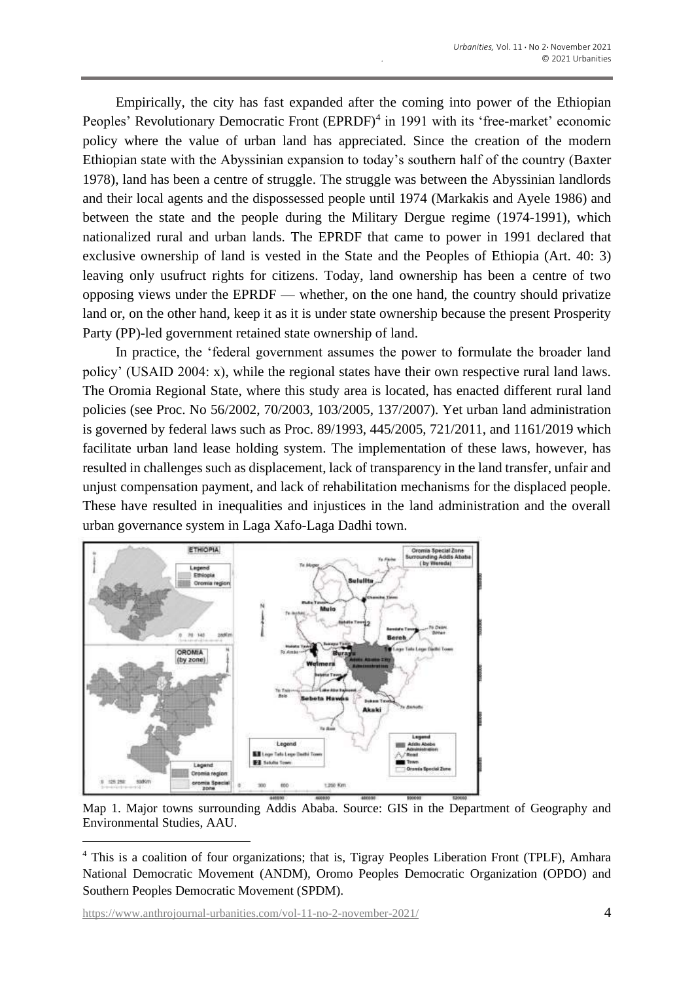Empirically, the city has fast expanded after the coming into power of the Ethiopian Peoples' Revolutionary Democratic Front (EPRDF)<sup>4</sup> in 1991 with its 'free-market' economic policy where the value of urban land has appreciated. Since the creation of the modern Ethiopian state with the Abyssinian expansion to today's southern half of the country (Baxter 1978), land has been a centre of struggle. The struggle was between the Abyssinian landlords and their local agents and the dispossessed people until 1974 (Markakis and Ayele 1986) and between the state and the people during the Military Dergue regime (1974-1991), which nationalized rural and urban lands. The EPRDF that came to power in 1991 declared that exclusive ownership of land is vested in the State and the Peoples of Ethiopia (Art. 40: 3) leaving only usufruct rights for citizens. Today, land ownership has been a centre of two opposing views under the EPRDF — whether, on the one hand, the country should privatize land or, on the other hand, keep it as it is under state ownership because the present Prosperity Party (PP)-led government retained state ownership of land.

In practice, the 'federal government assumes the power to formulate the broader land policy' (USAID 2004: x), while the regional states have their own respective rural land laws. The Oromia Regional State, where this study area is located, has enacted different rural land policies (see Proc. No 56/2002, 70/2003, 103/2005, 137/2007). Yet urban land administration is governed by federal laws such as Proc. 89/1993, 445/2005, 721/2011, and 1161/2019 which facilitate urban land lease holding system. The implementation of these laws, however, has resulted in challenges such as displacement, lack of transparency in the land transfer, unfair and unjust compensation payment, and lack of rehabilitation mechanisms for the displaced people. These have resulted in inequalities and injustices in the land administration and the overall urban governance system in Laga Xafo-Laga Dadhi town.



Map 1. Major towns surrounding Addis Ababa. Source: GIS in the Department of Geography and Environmental Studies, AAU.

<sup>4</sup> This is a coalition of four organizations; that is, Tigray Peoples Liberation Front (TPLF), Amhara National Democratic Movement (ANDM), Oromo Peoples Democratic Organization (OPDO) and Southern Peoples Democratic Movement (SPDM).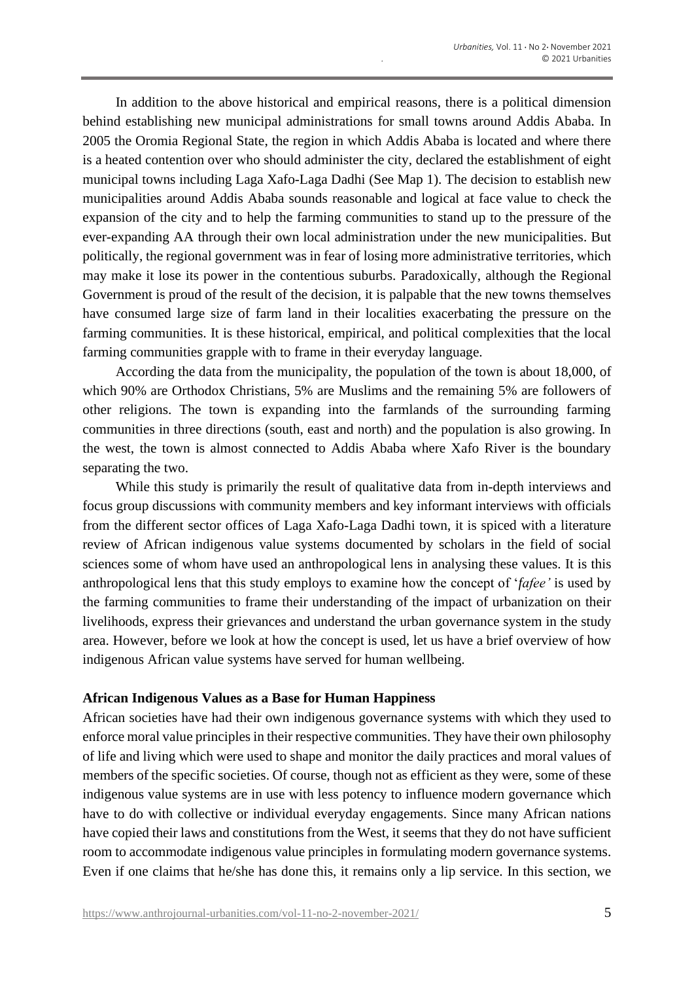In addition to the above historical and empirical reasons, there is a political dimension behind establishing new municipal administrations for small towns around Addis Ababa. In 2005 the Oromia Regional State, the region in which Addis Ababa is located and where there is a heated contention over who should administer the city, declared the establishment of eight municipal towns including Laga Xafo-Laga Dadhi (See Map 1). The decision to establish new municipalities around Addis Ababa sounds reasonable and logical at face value to check the expansion of the city and to help the farming communities to stand up to the pressure of the ever-expanding AA through their own local administration under the new municipalities. But politically, the regional government was in fear of losing more administrative territories, which may make it lose its power in the contentious suburbs. Paradoxically, although the Regional Government is proud of the result of the decision, it is palpable that the new towns themselves have consumed large size of farm land in their localities exacerbating the pressure on the farming communities. It is these historical, empirical, and political complexities that the local farming communities grapple with to frame in their everyday language.

According the data from the municipality, the population of the town is about 18,000, of which 90% are Orthodox Christians, 5% are Muslims and the remaining 5% are followers of other religions. The town is expanding into the farmlands of the surrounding farming communities in three directions (south, east and north) and the population is also growing. In the west, the town is almost connected to Addis Ababa where Xafo River is the boundary separating the two.

While this study is primarily the result of qualitative data from in-depth interviews and focus group discussions with community members and key informant interviews with officials from the different sector offices of Laga Xafo-Laga Dadhi town, it is spiced with a literature review of African indigenous value systems documented by scholars in the field of social sciences some of whom have used an anthropological lens in analysing these values. It is this anthropological lens that this study employs to examine how the concept of '*fafee'* is used by the farming communities to frame their understanding of the impact of urbanization on their livelihoods, express their grievances and understand the urban governance system in the study area. However, before we look at how the concept is used, let us have a brief overview of how indigenous African value systems have served for human wellbeing.

#### **African Indigenous Values as a Base for Human Happiness**

African societies have had their own indigenous governance systems with which they used to enforce moral value principles in their respective communities. They have their own philosophy of life and living which were used to shape and monitor the daily practices and moral values of members of the specific societies. Of course, though not as efficient as they were, some of these indigenous value systems are in use with less potency to influence modern governance which have to do with collective or individual everyday engagements. Since many African nations have copied their laws and constitutions from the West, it seems that they do not have sufficient room to accommodate indigenous value principles in formulating modern governance systems. Even if one claims that he/she has done this, it remains only a lip service. In this section, we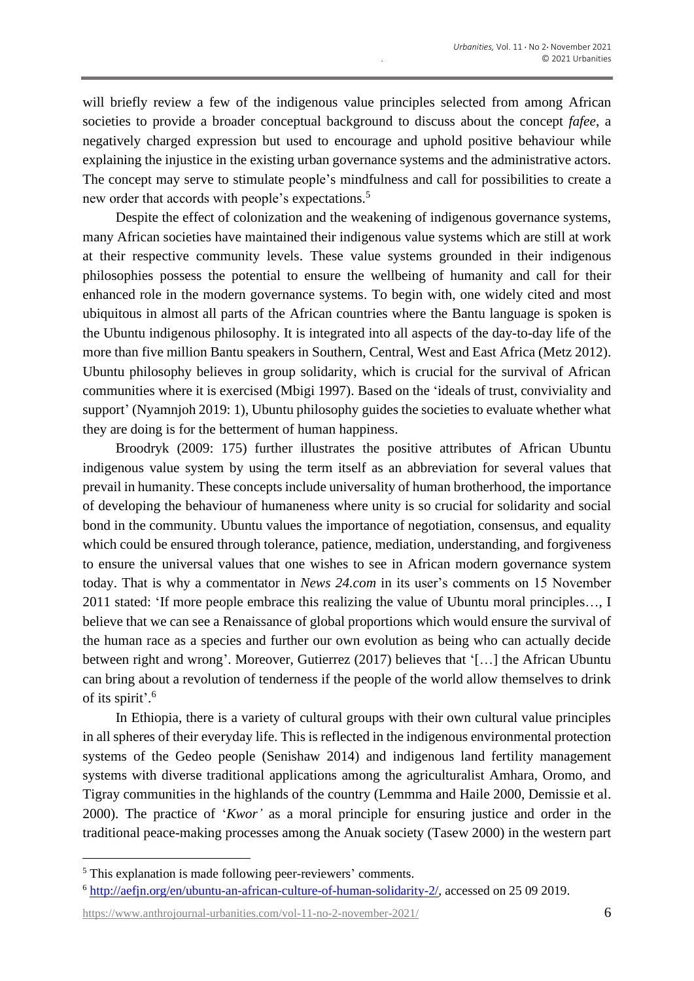will briefly review a few of the indigenous value principles selected from among African societies to provide a broader conceptual background to discuss about the concept *fafee*, a negatively charged expression but used to encourage and uphold positive behaviour while explaining the injustice in the existing urban governance systems and the administrative actors. The concept may serve to stimulate people's mindfulness and call for possibilities to create a new order that accords with people's expectations.<sup>5</sup>

Despite the effect of colonization and the weakening of indigenous governance systems, many African societies have maintained their indigenous value systems which are still at work at their respective community levels. These value systems grounded in their indigenous philosophies possess the potential to ensure the wellbeing of humanity and call for their enhanced role in the modern governance systems. To begin with, one widely cited and most ubiquitous in almost all parts of the African countries where the Bantu language is spoken is the Ubuntu indigenous philosophy. It is integrated into all aspects of the day-to-day life of the more than five million Bantu speakers in Southern, Central, West and East Africa (Metz 2012). Ubuntu philosophy believes in group solidarity, which is crucial for the survival of African communities where it is exercised (Mbigi 1997). Based on the 'ideals of trust, conviviality and support' (Nyamnjoh 2019: 1), Ubuntu philosophy guides the societies to evaluate whether what they are doing is for the betterment of human happiness.

Broodryk (2009: 175) further illustrates the positive attributes of African Ubuntu indigenous value system by using the term itself as an abbreviation for several values that prevail in humanity. These concepts include universality of human brotherhood, the importance of developing the behaviour of humaneness where unity is so crucial for solidarity and social bond in the community. Ubuntu values the importance of negotiation, consensus, and equality which could be ensured through tolerance, patience, mediation, understanding, and forgiveness to ensure the universal values that one wishes to see in African modern governance system today. That is why a commentator in *News 24.com* in its user's comments on 15 November 2011 stated: 'If more people embrace this realizing the value of Ubuntu moral principles…, I believe that we can see a Renaissance of global proportions which would ensure the survival of the human race as a species and further our own evolution as being who can actually decide between right and wrong'. Moreover, Gutierrez (2017) believes that '[…] the African Ubuntu can bring about a revolution of tenderness if the people of the world allow themselves to drink of its spirit'. 6

In Ethiopia, there is a variety of cultural groups with their own cultural value principles in all spheres of their everyday life. This is reflected in the indigenous environmental protection systems of the Gedeo people (Senishaw 2014) and indigenous land fertility management systems with diverse traditional applications among the agriculturalist Amhara, Oromo, and Tigray communities in the highlands of the country (Lemmma and Haile 2000, Demissie et al. 2000). The practice of '*Kwor'* as a moral principle for ensuring justice and order in the traditional peace-making processes among the Anuak society (Tasew 2000) in the western part

[https://www.anthrojournal-urbanities.com/vol-11-no-2-november-2021/](https://www.anthrojournal-urbanities.com/?page_id=1361&preview=true) 6

<sup>5</sup> This explanation is made following peer-reviewers' comments.

<sup>6</sup> [http://aefjn.org/en/ubuntu-an-african-culture-of-human-solidarity-2/,](http://aefjn.org/en/ubuntu-an-african-culture-of-human-solidarity-2/) accessed on 25 09 2019.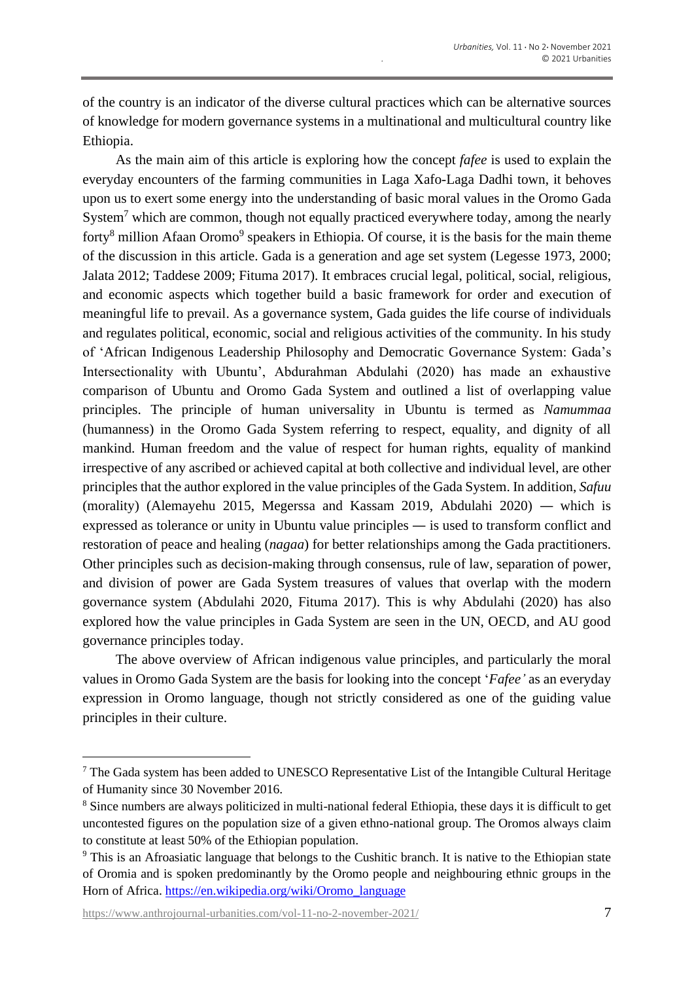of the country is an indicator of the diverse cultural practices which can be alternative sources of knowledge for modern governance systems in a multinational and multicultural country like Ethiopia.

As the main aim of this article is exploring how the concept *fafee* is used to explain the everyday encounters of the farming communities in Laga Xafo-Laga Dadhi town, it behoves upon us to exert some energy into the understanding of basic moral values in the Oromo Gada System<sup>7</sup> which are common, though not equally practiced everywhere today, among the nearly forty<sup>8</sup> million Afaan Oromo<sup>9</sup> speakers in Ethiopia. Of course, it is the basis for the main theme of the discussion in this article. Gada is a generation and age set system (Legesse 1973, 2000; Jalata 2012; Taddese 2009; Fituma 2017). It embraces crucial legal, political, social, religious, and economic aspects which together build a basic framework for order and execution of meaningful life to prevail. As a governance system, Gada guides the life course of individuals and regulates political, economic, social and religious activities of the community. In his study of 'African Indigenous Leadership Philosophy and Democratic Governance System: Gada's Intersectionality with Ubuntu', Abdurahman Abdulahi (2020) has made an exhaustive comparison of Ubuntu and Oromo Gada System and outlined a list of overlapping value principles. The principle of human universality in Ubuntu is termed as *Namummaa* (humanness) in the Oromo Gada System referring to respect, equality, and dignity of all mankind. Human freedom and the value of respect for human rights, equality of mankind irrespective of any ascribed or achieved capital at both collective and individual level, are other principles that the author explored in the value principles of the Gada System. In addition, *Safuu* (morality) (Alemayehu 2015, Megerssa and Kassam 2019, Abdulahi 2020) — which is expressed as tolerance or unity in Ubuntu value principles — is used to transform conflict and restoration of peace and healing (*nagaa*) for better relationships among the Gada practitioners. Other principles such as decision-making through consensus, rule of law, separation of power, and division of power are Gada System treasures of values that overlap with the modern governance system (Abdulahi 2020, Fituma 2017). This is why Abdulahi (2020) has also explored how the value principles in Gada System are seen in the UN, OECD, and AU good governance principles today.

The above overview of African indigenous value principles, and particularly the moral values in Oromo Gada System are the basis for looking into the concept '*Fafee'* as an everyday expression in Oromo language, though not strictly considered as one of the guiding value principles in their culture.

 $\frac{7}{1}$  The Gada system has been added to UNESCO Representative List of the Intangible Cultural Heritage of Humanity since 30 November 2016.

<sup>8</sup> Since numbers are always politicized in multi-national federal Ethiopia, these days it is difficult to get uncontested figures on the population size of a given ethno-national group. The Oromos always claim to constitute at least 50% of the Ethiopian population.

<sup>&</sup>lt;sup>9</sup> This is an Afroasiatic language that belongs to the Cushitic branch. It is native to the Ethiopian state of Oromia and is spoken predominantly by the Oromo people and neighbouring ethnic groups in the Horn of Africa. [https://en.wikipedia.org/wiki/Oromo\\_language](https://en.wikipedia.org/wiki/Oromo_language)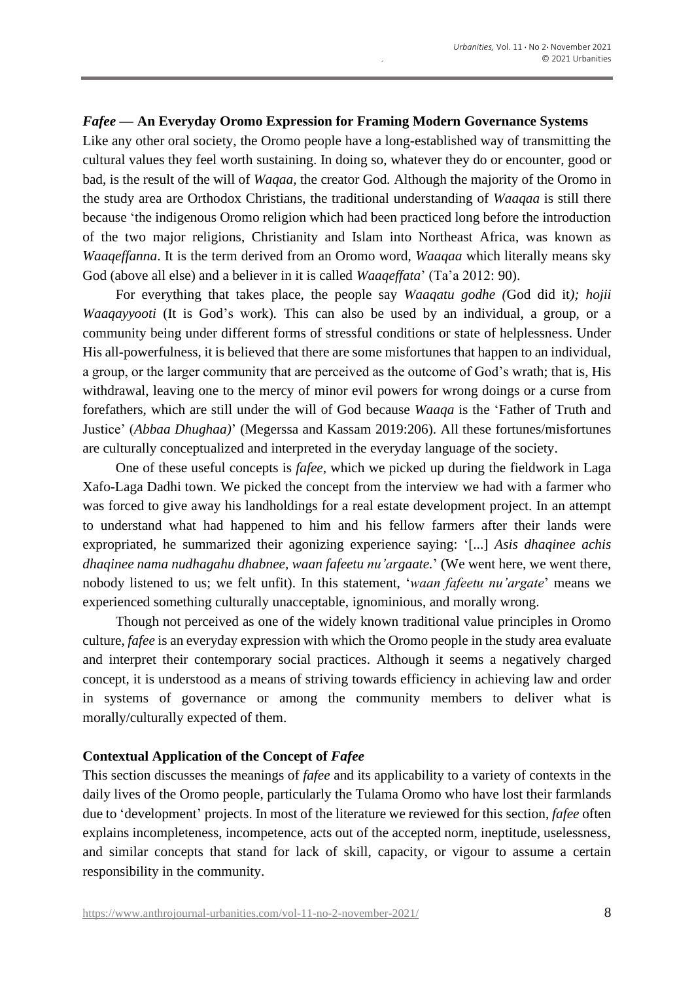# *Fafee* **— An Everyday Oromo Expression for Framing Modern Governance Systems**

Like any other oral society, the Oromo people have a long-established way of transmitting the cultural values they feel worth sustaining. In doing so, whatever they do or encounter, good or bad, is the result of the will of *Waqaa,* the creator God*.* Although the majority of the Oromo in the study area are Orthodox Christians, the traditional understanding of *Waaqaa* is still there because 'the indigenous Oromo religion which had been practiced long before the introduction of the two major religions, Christianity and Islam into Northeast Africa, was known as *Waaqeffanna*. It is the term derived from an Oromo word, *Waaqaa* which literally means sky God (above all else) and a believer in it is called *Waaqeffata*' (Ta'a 2012: 90).

For everything that takes place, the people say *Waaqatu godhe (*God did it*); hojii Waaqayyooti* (It is God's work)*.* This can also be used by an individual, a group, or a community being under different forms of stressful conditions or state of helplessness. Under His all-powerfulness, it is believed that there are some misfortunes that happen to an individual, a group, or the larger community that are perceived as the outcome of God's wrath; that is, His withdrawal, leaving one to the mercy of minor evil powers for wrong doings or a curse from forefathers, which are still under the will of God because *Waaqa* is the 'Father of Truth and Justice' (*Abbaa Dhughaa)*' (Megerssa and Kassam 2019:206). All these fortunes/misfortunes are culturally conceptualized and interpreted in the everyday language of the society.

One of these useful concepts is *fafee*, which we picked up during the fieldwork in Laga Xafo-Laga Dadhi town. We picked the concept from the interview we had with a farmer who was forced to give away his landholdings for a real estate development project. In an attempt to understand what had happened to him and his fellow farmers after their lands were expropriated, he summarized their agonizing experience saying: '[...] *Asis dhaqinee achis dhaqinee nama nudhagahu dhabnee, waan fafeetu nu'argaate.*' (We went here, we went there, nobody listened to us; we felt unfit). In this statement, '*waan fafeetu nu'argate*' means we experienced something culturally unacceptable, ignominious, and morally wrong.

Though not perceived as one of the widely known traditional value principles in Oromo culture, *fafee* is an everyday expression with which the Oromo people in the study area evaluate and interpret their contemporary social practices. Although it seems a negatively charged concept, it is understood as a means of striving towards efficiency in achieving law and order in systems of governance or among the community members to deliver what is morally/culturally expected of them.

## **Contextual Application of the Concept of** *Fafee*

This section discusses the meanings of *fafee* and its applicability to a variety of contexts in the daily lives of the Oromo people, particularly the Tulama Oromo who have lost their farmlands due to 'development' projects. In most of the literature we reviewed for this section, *fafee* often explains incompleteness, incompetence, acts out of the accepted norm, ineptitude, uselessness, and similar concepts that stand for lack of skill, capacity, or vigour to assume a certain responsibility in the community.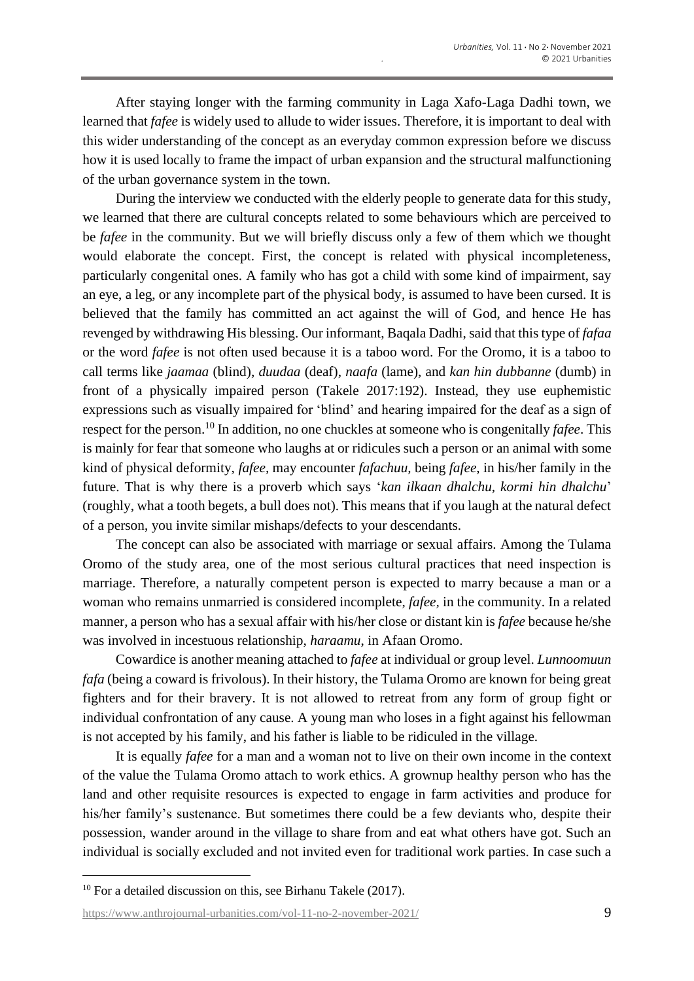After staying longer with the farming community in Laga Xafo-Laga Dadhi town, we learned that *fafee* is widely used to allude to wider issues. Therefore, it is important to deal with this wider understanding of the concept as an everyday common expression before we discuss how it is used locally to frame the impact of urban expansion and the structural malfunctioning of the urban governance system in the town.

During the interview we conducted with the elderly people to generate data for this study, we learned that there are cultural concepts related to some behaviours which are perceived to be *fafee* in the community. But we will briefly discuss only a few of them which we thought would elaborate the concept. First, the concept is related with physical incompleteness, particularly congenital ones. A family who has got a child with some kind of impairment, say an eye, a leg, or any incomplete part of the physical body, is assumed to have been cursed. It is believed that the family has committed an act against the will of God, and hence He has revenged by withdrawing His blessing. Our informant, Baqala Dadhi, said that this type of *fafaa* or the word *fafee* is not often used because it is a taboo word. For the Oromo, it is a taboo to call terms like *jaamaa* (blind), *duudaa* (deaf), *naafa* (lame), and *kan hin dubbanne* (dumb) in front of a physically impaired person (Takele 2017:192). Instead, they use euphemistic expressions such as visually impaired for 'blind' and hearing impaired for the deaf as a sign of respect for the person.<sup>10</sup> In addition, no one chuckles at someone who is congenitally *fafee*. This is mainly for fear that someone who laughs at or ridicules such a person or an animal with some kind of physical deformity, *fafee,* may encounter *fafachuu,* being *fafee*, in his/her family in the future. That is why there is a proverb which says '*kan ilkaan dhalchu, kormi hin dhalchu*' (roughly, what a tooth begets, a bull does not). This means that if you laugh at the natural defect of a person, you invite similar mishaps/defects to your descendants.

The concept can also be associated with marriage or sexual affairs. Among the Tulama Oromo of the study area, one of the most serious cultural practices that need inspection is marriage. Therefore, a naturally competent person is expected to marry because a man or a woman who remains unmarried is considered incomplete, *fafee,* in the community. In a related manner, a person who has a sexual affair with his/her close or distant kin is *fafee* because he/she was involved in incestuous relationship, *haraamu*, in Afaan Oromo.

Cowardice is another meaning attached to *fafee* at individual or group level. *Lunnoomuun fafa* (being a coward is frivolous). In their history, the Tulama Oromo are known for being great fighters and for their bravery. It is not allowed to retreat from any form of group fight or individual confrontation of any cause. A young man who loses in a fight against his fellowman is not accepted by his family, and his father is liable to be ridiculed in the village.

It is equally *fafee* for a man and a woman not to live on their own income in the context of the value the Tulama Oromo attach to work ethics. A grownup healthy person who has the land and other requisite resources is expected to engage in farm activities and produce for his/her family's sustenance. But sometimes there could be a few deviants who, despite their possession, wander around in the village to share from and eat what others have got. Such an individual is socially excluded and not invited even for traditional work parties. In case such a

<sup>&</sup>lt;sup>10</sup> For a detailed discussion on this, see Birhanu Takele (2017).

[https://www.anthrojournal-urbanities.com/vol-11-no-2-november-2021/](https://www.anthrojournal-urbanities.com/?page_id=1361&preview=true) 9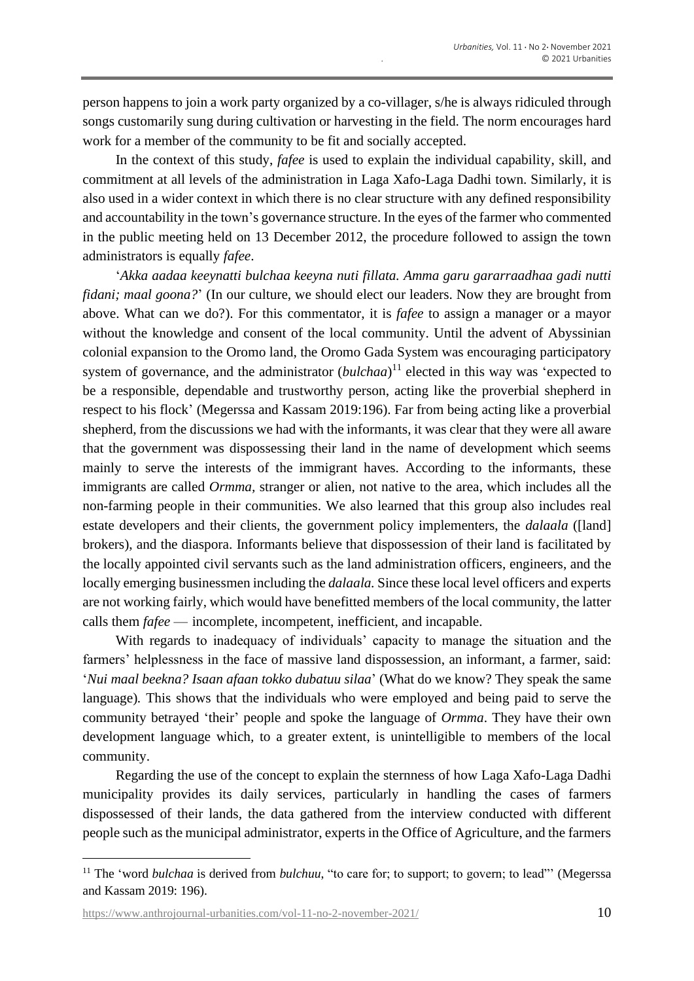person happens to join a work party organized by a co-villager, s/he is always ridiculed through songs customarily sung during cultivation or harvesting in the field. The norm encourages hard work for a member of the community to be fit and socially accepted.

In the context of this study, *fafee* is used to explain the individual capability, skill, and commitment at all levels of the administration in Laga Xafo-Laga Dadhi town. Similarly, it is also used in a wider context in which there is no clear structure with any defined responsibility and accountability in the town's governance structure. In the eyes of the farmer who commented in the public meeting held on 13 December 2012, the procedure followed to assign the town administrators is equally *fafee*.

'*Akka aadaa keeynatti bulchaa keeyna nuti fillata. Amma garu gararraadhaa gadi nutti fidani; maal goona?*' (In our culture, we should elect our leaders. Now they are brought from above. What can we do?). For this commentator, it is *fafee* to assign a manager or a mayor without the knowledge and consent of the local community. Until the advent of Abyssinian colonial expansion to the Oromo land, the Oromo Gada System was encouraging participatory system of governance, and the administrator (*bulchaa*) <sup>11</sup> elected in this way was 'expected to be a responsible, dependable and trustworthy person, acting like the proverbial shepherd in respect to his flock' (Megerssa and Kassam 2019:196). Far from being acting like a proverbial shepherd, from the discussions we had with the informants, it was clear that they were all aware that the government was dispossessing their land in the name of development which seems mainly to serve the interests of the immigrant haves. According to the informants, these immigrants are called *Ormma,* stranger or alien*,* not native to the area, which includes all the non-farming people in their communities. We also learned that this group also includes real estate developers and their clients, the government policy implementers, the *dalaala* ([land] brokers), and the diaspora. Informants believe that dispossession of their land is facilitated by the locally appointed civil servants such as the land administration officers, engineers, and the locally emerging businessmen including the *dalaala.* Since these local level officers and experts are not working fairly, which would have benefitted members of the local community, the latter calls them *fafee* — incomplete, incompetent, inefficient, and incapable.

With regards to inadequacy of individuals' capacity to manage the situation and the farmers' helplessness in the face of massive land dispossession, an informant, a farmer, said: '*Nui maal beekna? Isaan afaan tokko dubatuu silaa*' (What do we know? They speak the same language)*.* This shows that the individuals who were employed and being paid to serve the community betrayed 'their' people and spoke the language of *Ormma*. They have their own development language which*,* to a greater extent, is unintelligible to members of the local community.

Regarding the use of the concept to explain the sternness of how Laga Xafo-Laga Dadhi municipality provides its daily services, particularly in handling the cases of farmers dispossessed of their lands*,* the data gathered from the interview conducted with different people such as the municipal administrator, experts in the Office of Agriculture, and the farmers

<sup>11</sup> The 'word *bulchaa* is derived from *bulchuu*, "to care for; to support; to govern; to lead"' (Megerssa and Kassam 2019: 196).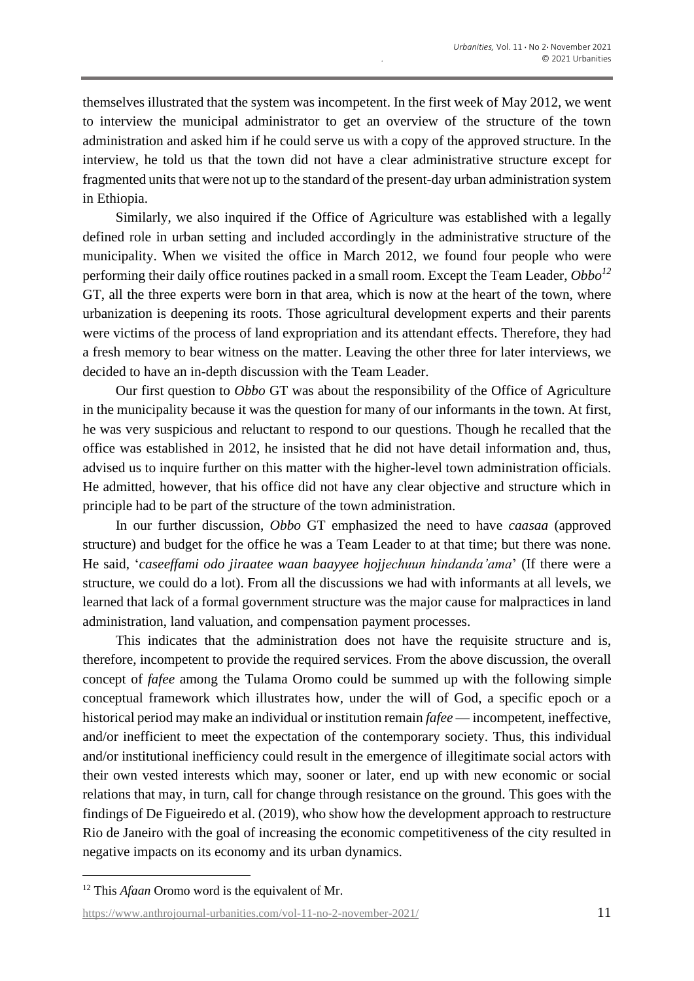themselves illustrated that the system was incompetent. In the first week of May 2012, we went to interview the municipal administrator to get an overview of the structure of the town administration and asked him if he could serve us with a copy of the approved structure. In the interview, he told us that the town did not have a clear administrative structure except for fragmented units that were not up to the standard of the present-day urban administration system in Ethiopia.

Similarly, we also inquired if the Office of Agriculture was established with a legally defined role in urban setting and included accordingly in the administrative structure of the municipality. When we visited the office in March 2012, we found four people who were performing their daily office routines packed in a small room. Except the Team Leader, *Obbo<sup>12</sup>* GT, all the three experts were born in that area, which is now at the heart of the town, where urbanization is deepening its roots. Those agricultural development experts and their parents were victims of the process of land expropriation and its attendant effects. Therefore, they had a fresh memory to bear witness on the matter. Leaving the other three for later interviews, we decided to have an in-depth discussion with the Team Leader.

Our first question to *Obbo* GT was about the responsibility of the Office of Agriculture in the municipality because it was the question for many of our informants in the town. At first, he was very suspicious and reluctant to respond to our questions. Though he recalled that the office was established in 2012, he insisted that he did not have detail information and, thus, advised us to inquire further on this matter with the higher-level town administration officials. He admitted, however, that his office did not have any clear objective and structure which in principle had to be part of the structure of the town administration.

In our further discussion, *Obbo* GT emphasized the need to have *caasaa* (approved structure) and budget for the office he was a Team Leader to at that time; but there was none. He said, '*caseeffami odo jiraatee waan baayyee hojjechuun hindanda'ama*' (If there were a structure, we could do a lot). From all the discussions we had with informants at all levels, we learned that lack of a formal government structure was the major cause for malpractices in land administration, land valuation, and compensation payment processes.

This indicates that the administration does not have the requisite structure and is, therefore, incompetent to provide the required services. From the above discussion, the overall concept of *fafee* among the Tulama Oromo could be summed up with the following simple conceptual framework which illustrates how, under the will of God, a specific epoch or a historical period may make an individual or institution remain *fafee* — incompetent, ineffective, and/or inefficient to meet the expectation of the contemporary society. Thus, this individual and/or institutional inefficiency could result in the emergence of illegitimate social actors with their own vested interests which may, sooner or later, end up with new economic or social relations that may, in turn, call for change through resistance on the ground. This goes with the findings of De Figueiredo et al. (2019), who show how the development approach to restructure Rio de Janeiro with the goal of increasing the economic competitiveness of the city resulted in negative impacts on its economy and its urban dynamics.

<sup>12</sup> This *Afaan* Oromo word is the equivalent of Mr.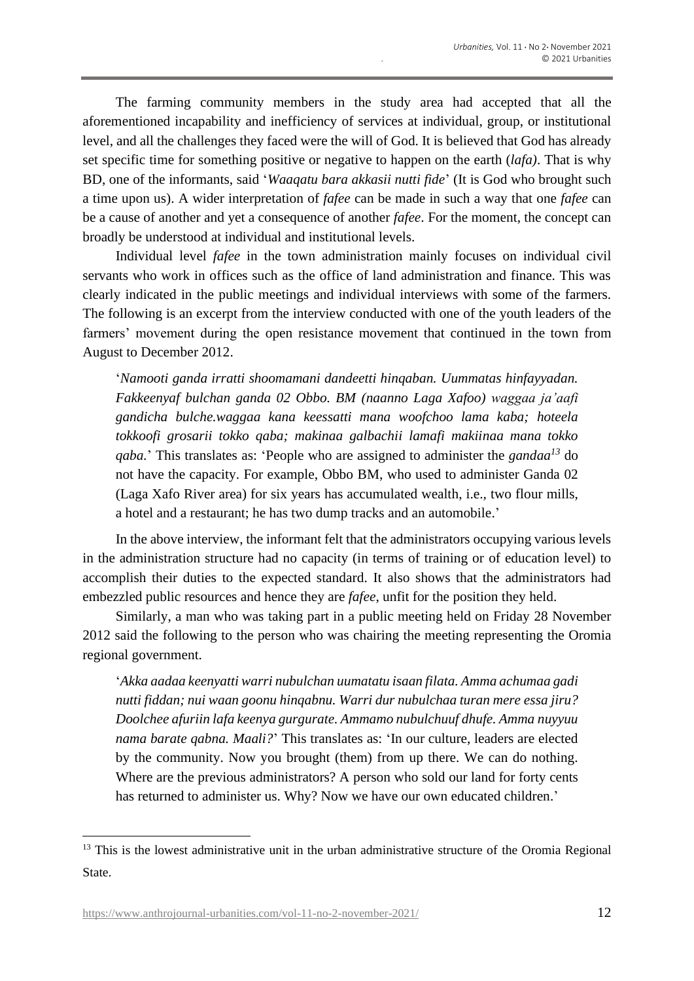The farming community members in the study area had accepted that all the aforementioned incapability and inefficiency of services at individual, group, or institutional level, and all the challenges they faced were the will of God. It is believed that God has already set specific time for something positive or negative to happen on the earth (*lafa)*. That is why BD, one of the informants, said '*Waaqatu bara akkasii nutti fide*' (It is God who brought such a time upon us). A wider interpretation of *fafee* can be made in such a way that one *fafee* can be a cause of another and yet a consequence of another *fafee*. For the moment, the concept can broadly be understood at individual and institutional levels.

Individual level *fafee* in the town administration mainly focuses on individual civil servants who work in offices such as the office of land administration and finance. This was clearly indicated in the public meetings and individual interviews with some of the farmers. The following is an excerpt from the interview conducted with one of the youth leaders of the farmers' movement during the open resistance movement that continued in the town from August to December 2012.

'*Namooti ganda irratti shoomamani dandeetti hinqaban. Uummatas hinfayyadan. Fakkeenyaf bulchan ganda 02 Obbo. BM (naanno Laga Xafoo) waggaa ja'aafi gandicha bulche.waggaa kana keessatti mana woofchoo lama kaba; hoteela tokkoofi grosarii tokko qaba; makinaa galbachii lamafi makiinaa mana tokko qaba.*' This translates as: 'People who are assigned to administer the *gandaa<sup>13</sup>* do not have the capacity. For example, Obbo BM, who used to administer Ganda 02 (Laga Xafo River area) for six years has accumulated wealth, i.e., two flour mills, a hotel and a restaurant; he has two dump tracks and an automobile.'

In the above interview, the informant felt that the administrators occupying various levels in the administration structure had no capacity (in terms of training or of education level) to accomplish their duties to the expected standard. It also shows that the administrators had embezzled public resources and hence they are *fafee*, unfit for the position they held.

Similarly, a man who was taking part in a public meeting held on Friday 28 November 2012 said the following to the person who was chairing the meeting representing the Oromia regional government.

'*Akka aadaa keenyatti warri nubulchan uumatatu isaan filata. Amma achumaa gadi nutti fiddan; nui waan goonu hinqabnu. Warri dur nubulchaa turan mere essa jiru? Doolchee afuriin lafa keenya gurgurate. Ammamo nubulchuuf dhufe. Amma nuyyuu nama barate qabna. Maali?*' This translates as: 'In our culture, leaders are elected by the community. Now you brought (them) from up there. We can do nothing. Where are the previous administrators? A person who sold our land for forty cents has returned to administer us. Why? Now we have our own educated children.'

<sup>&</sup>lt;sup>13</sup> This is the lowest administrative unit in the urban administrative structure of the Oromia Regional State.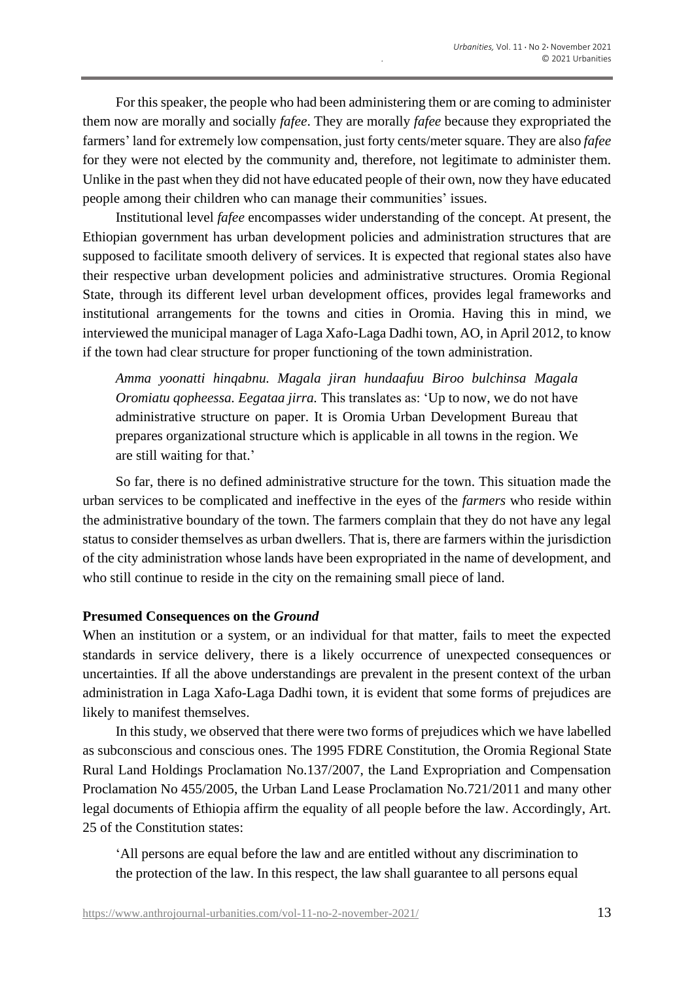For this speaker, the people who had been administering them or are coming to administer them now are morally and socially *fafee*. They are morally *fafee* because they expropriated the farmers' land for extremely low compensation, just forty cents/meter square. They are also *fafee* for they were not elected by the community and, therefore, not legitimate to administer them. Unlike in the past when they did not have educated people of their own, now they have educated people among their children who can manage their communities' issues.

Institutional level *fafee* encompasses wider understanding of the concept. At present, the Ethiopian government has urban development policies and administration structures that are supposed to facilitate smooth delivery of services. It is expected that regional states also have their respective urban development policies and administrative structures. Oromia Regional State, through its different level urban development offices, provides legal frameworks and institutional arrangements for the towns and cities in Oromia. Having this in mind, we interviewed the municipal manager of Laga Xafo-Laga Dadhi town, AO, in April 2012, to know if the town had clear structure for proper functioning of the town administration.

*Amma yoonatti hinqabnu. Magala jiran hundaafuu Biroo bulchinsa Magala Oromiatu qopheessa. Eegataa jirra.* This translates as: 'Up to now, we do not have administrative structure on paper. It is Oromia Urban Development Bureau that prepares organizational structure which is applicable in all towns in the region. We are still waiting for that.'

So far, there is no defined administrative structure for the town. This situation made the urban services to be complicated and ineffective in the eyes of the *farmers* who reside within the administrative boundary of the town. The farmers complain that they do not have any legal status to consider themselves as urban dwellers. That is, there are farmers within the jurisdiction of the city administration whose lands have been expropriated in the name of development, and who still continue to reside in the city on the remaining small piece of land.

#### **Presumed Consequences on the** *Ground*

When an institution or a system, or an individual for that matter, fails to meet the expected standards in service delivery, there is a likely occurrence of unexpected consequences or uncertainties. If all the above understandings are prevalent in the present context of the urban administration in Laga Xafo-Laga Dadhi town, it is evident that some forms of prejudices are likely to manifest themselves.

In this study, we observed that there were two forms of prejudices which we have labelled as subconscious and conscious ones. The 1995 FDRE Constitution, the Oromia Regional State Rural Land Holdings Proclamation No.137/2007, the Land Expropriation and Compensation Proclamation No 455/2005, the Urban Land Lease Proclamation No.721/2011 and many other legal documents of Ethiopia affirm the equality of all people before the law. Accordingly, Art. 25 of the Constitution states:

'All persons are equal before the law and are entitled without any discrimination to the protection of the law. In this respect, the law shall guarantee to all persons equal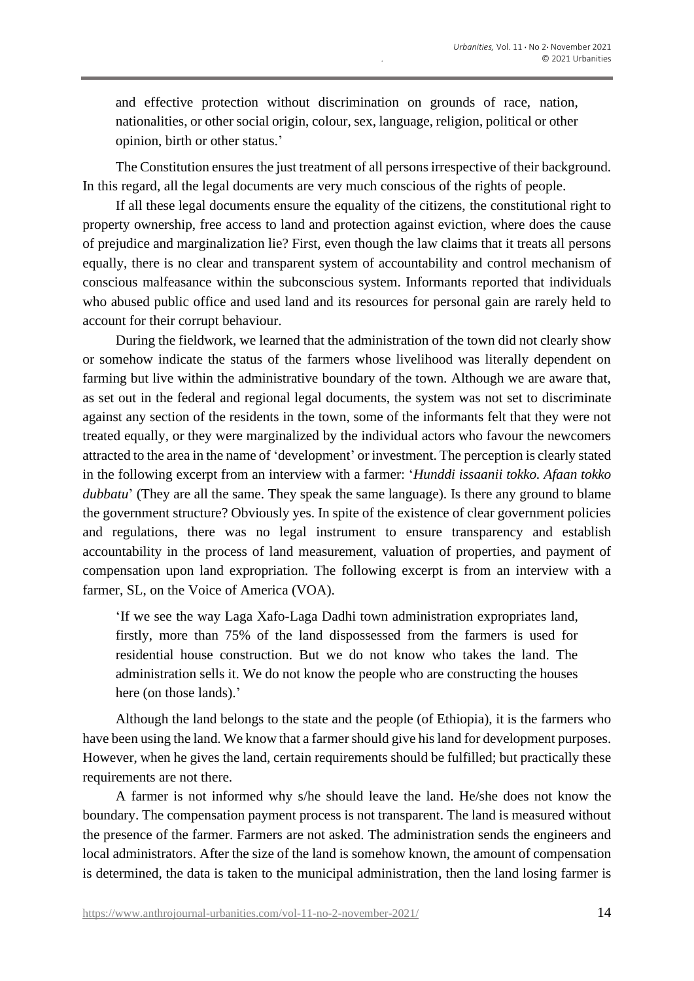and effective protection without discrimination on grounds of race, nation, nationalities, or other social origin, colour, sex, language, religion, political or other opinion, birth or other status.'

The Constitution ensures the just treatment of all persons irrespective of their background. In this regard, all the legal documents are very much conscious of the rights of people.

If all these legal documents ensure the equality of the citizens, the constitutional right to property ownership, free access to land and protection against eviction, where does the cause of prejudice and marginalization lie? First, even though the law claims that it treats all persons equally, there is no clear and transparent system of accountability and control mechanism of conscious malfeasance within the subconscious system. Informants reported that individuals who abused public office and used land and its resources for personal gain are rarely held to account for their corrupt behaviour.

During the fieldwork, we learned that the administration of the town did not clearly show or somehow indicate the status of the farmers whose livelihood was literally dependent on farming but live within the administrative boundary of the town. Although we are aware that, as set out in the federal and regional legal documents, the system was not set to discriminate against any section of the residents in the town, some of the informants felt that they were not treated equally, or they were marginalized by the individual actors who favour the newcomers attracted to the area in the name of 'development' or investment. The perception is clearly stated in the following excerpt from an interview with a farmer: '*Hunddi issaanii tokko. Afaan tokko dubbatu*' (They are all the same. They speak the same language). Is there any ground to blame the government structure? Obviously yes. In spite of the existence of clear government policies and regulations, there was no legal instrument to ensure transparency and establish accountability in the process of land measurement, valuation of properties, and payment of compensation upon land expropriation. The following excerpt is from an interview with a farmer, SL, on the Voice of America (VOA).

'If we see the way Laga Xafo-Laga Dadhi town administration expropriates land, firstly, more than 75% of the land dispossessed from the farmers is used for residential house construction. But we do not know who takes the land. The administration sells it. We do not know the people who are constructing the houses here (on those lands).'

Although the land belongs to the state and the people (of Ethiopia), it is the farmers who have been using the land. We know that a farmer should give his land for development purposes. However, when he gives the land, certain requirements should be fulfilled; but practically these requirements are not there.

A farmer is not informed why s/he should leave the land. He/she does not know the boundary. The compensation payment process is not transparent. The land is measured without the presence of the farmer. Farmers are not asked. The administration sends the engineers and local administrators. After the size of the land is somehow known, the amount of compensation is determined, the data is taken to the municipal administration, then the land losing farmer is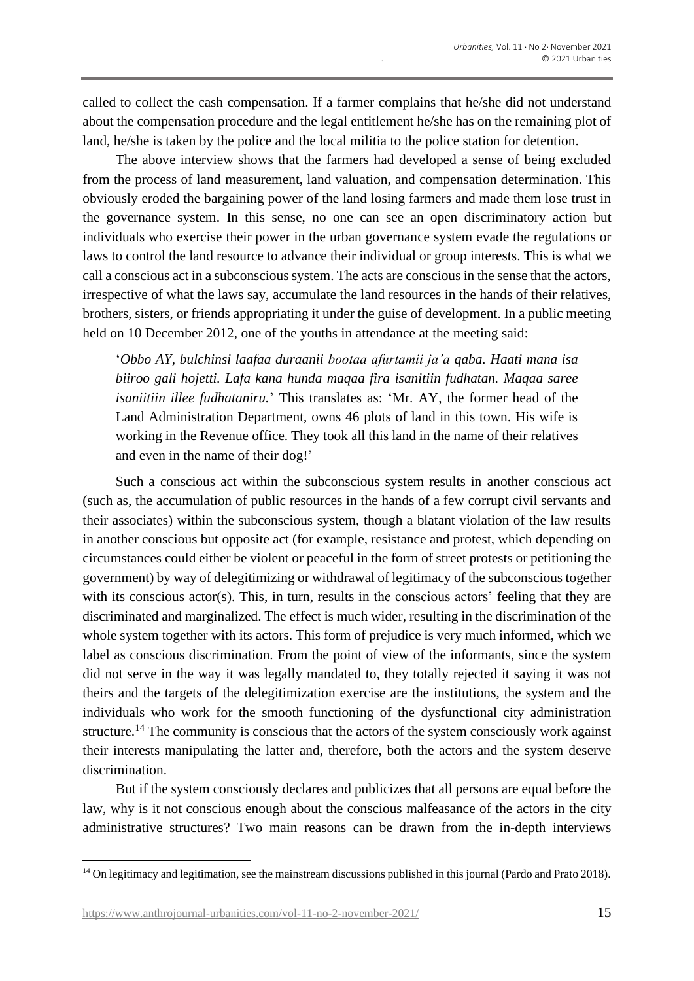called to collect the cash compensation. If a farmer complains that he/she did not understand about the compensation procedure and the legal entitlement he/she has on the remaining plot of land, he/she is taken by the police and the local militia to the police station for detention.

The above interview shows that the farmers had developed a sense of being excluded from the process of land measurement, land valuation, and compensation determination. This obviously eroded the bargaining power of the land losing farmers and made them lose trust in the governance system. In this sense, no one can see an open discriminatory action but individuals who exercise their power in the urban governance system evade the regulations or laws to control the land resource to advance their individual or group interests. This is what we call a conscious act in a subconscious system. The acts are conscious in the sense that the actors, irrespective of what the laws say, accumulate the land resources in the hands of their relatives, brothers, sisters, or friends appropriating it under the guise of development. In a public meeting held on 10 December 2012, one of the youths in attendance at the meeting said:

'*Obbo AY, bulchinsi laafaa duraanii bootaa afurtamii ja'a qaba. Haati mana isa biiroo gali hojetti. Lafa kana hunda maqaa fira isanitiin fudhatan. Maqaa saree isaniitiin illee fudhataniru.*' This translates as: 'Mr. AY, the former head of the Land Administration Department, owns 46 plots of land in this town. His wife is working in the Revenue office. They took all this land in the name of their relatives and even in the name of their dog!'

Such a conscious act within the subconscious system results in another conscious act (such as, the accumulation of public resources in the hands of a few corrupt civil servants and their associates) within the subconscious system, though a blatant violation of the law results in another conscious but opposite act (for example, resistance and protest, which depending on circumstances could either be violent or peaceful in the form of street protests or petitioning the government) by way of delegitimizing or withdrawal of legitimacy of the subconscious together with its conscious actor(s). This, in turn, results in the conscious actors' feeling that they are discriminated and marginalized. The effect is much wider, resulting in the discrimination of the whole system together with its actors. This form of prejudice is very much informed, which we label as conscious discrimination. From the point of view of the informants, since the system did not serve in the way it was legally mandated to, they totally rejected it saying it was not theirs and the targets of the delegitimization exercise are the institutions, the system and the individuals who work for the smooth functioning of the dysfunctional city administration structure.<sup>14</sup> The community is conscious that the actors of the system consciously work against their interests manipulating the latter and, therefore, both the actors and the system deserve discrimination.

But if the system consciously declares and publicizes that all persons are equal before the law, why is it not conscious enough about the conscious malfeasance of the actors in the city administrative structures? Two main reasons can be drawn from the in-depth interviews

<sup>&</sup>lt;sup>14</sup> On legitimacy and legitimation, see the mainstream discussions published in this journal (Pardo and Prato 2018).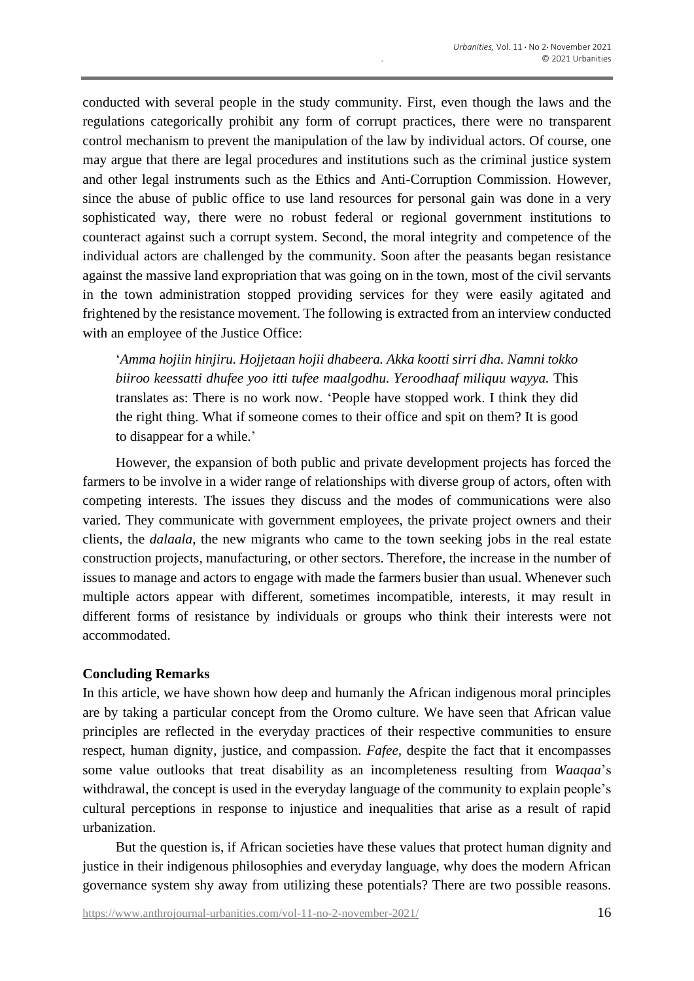conducted with several people in the study community. First, even though the laws and the regulations categorically prohibit any form of corrupt practices, there were no transparent control mechanism to prevent the manipulation of the law by individual actors. Of course, one may argue that there are legal procedures and institutions such as the criminal justice system and other legal instruments such as the Ethics and Anti-Corruption Commission. However, since the abuse of public office to use land resources for personal gain was done in a very sophisticated way, there were no robust federal or regional government institutions to counteract against such a corrupt system. Second, the moral integrity and competence of the individual actors are challenged by the community. Soon after the peasants began resistance against the massive land expropriation that was going on in the town, most of the civil servants in the town administration stopped providing services for they were easily agitated and frightened by the resistance movement. The following is extracted from an interview conducted with an employee of the Justice Office:

'*Amma hojiin hinjiru. Hojjetaan hojii dhabeera. Akka kootti sirri dha. Namni tokko biiroo keessatti dhufee yoo itti tufee maalgodhu. Yeroodhaaf miliquu wayya.* This translates as: There is no work now. 'People have stopped work. I think they did the right thing. What if someone comes to their office and spit on them? It is good to disappear for a while.'

However, the expansion of both public and private development projects has forced the farmers to be involve in a wider range of relationships with diverse group of actors, often with competing interests. The issues they discuss and the modes of communications were also varied. They communicate with government employees, the private project owners and their clients, the *dalaala*, the new migrants who came to the town seeking jobs in the real estate construction projects, manufacturing, or other sectors. Therefore, the increase in the number of issues to manage and actors to engage with made the farmers busier than usual. Whenever such multiple actors appear with different, sometimes incompatible, interests, it may result in different forms of resistance by individuals or groups who think their interests were not accommodated.

## **Concluding Remarks**

In this article, we have shown how deep and humanly the African indigenous moral principles are by taking a particular concept from the Oromo culture. We have seen that African value principles are reflected in the everyday practices of their respective communities to ensure respect, human dignity, justice, and compassion. *Fafee,* despite the fact that it encompasses some value outlooks that treat disability as an incompleteness resulting from *Waaqaa*'s withdrawal, the concept is used in the everyday language of the community to explain people's cultural perceptions in response to injustice and inequalities that arise as a result of rapid urbanization.

But the question is, if African societies have these values that protect human dignity and justice in their indigenous philosophies and everyday language, why does the modern African governance system shy away from utilizing these potentials? There are two possible reasons.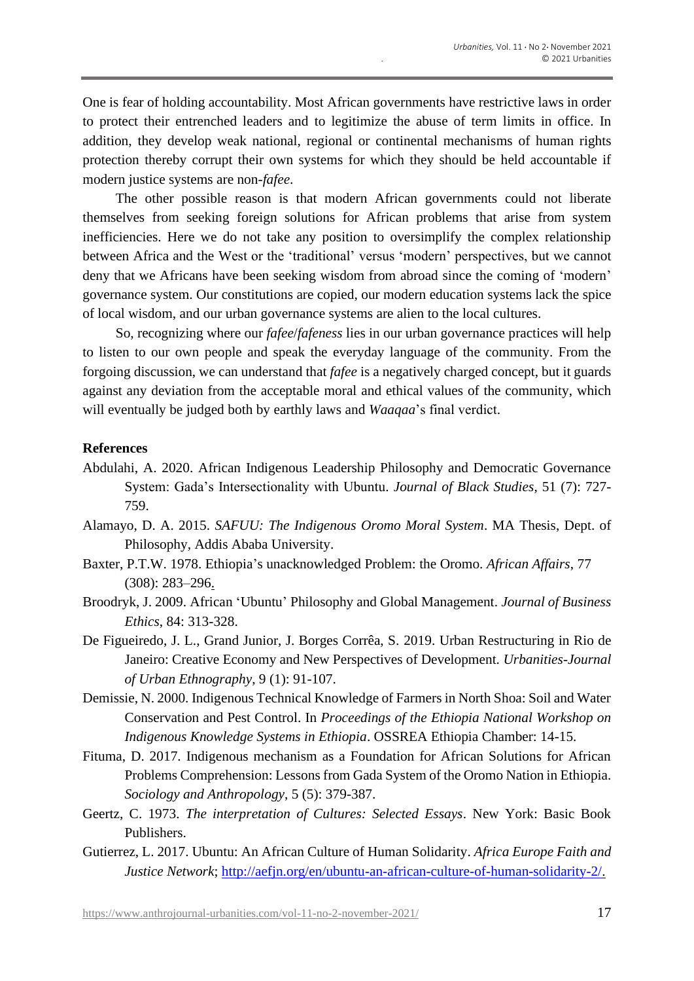One is fear of holding accountability. Most African governments have restrictive laws in order to protect their entrenched leaders and to legitimize the abuse of term limits in office. In addition, they develop weak national, regional or continental mechanisms of human rights protection thereby corrupt their own systems for which they should be held accountable if modern justice systems are non-*fafee*.

The other possible reason is that modern African governments could not liberate themselves from seeking foreign solutions for African problems that arise from system inefficiencies. Here we do not take any position to oversimplify the complex relationship between Africa and the West or the 'traditional' versus 'modern' perspectives, but we cannot deny that we Africans have been seeking wisdom from abroad since the coming of 'modern' governance system. Our constitutions are copied, our modern education systems lack the spice of local wisdom, and our urban governance systems are alien to the local cultures.

So, recognizing where our *fafee*/*fafeness* lies in our urban governance practices will help to listen to our own people and speak the everyday language of the community. From the forgoing discussion, we can understand that *fafee* is a negatively charged concept, but it guards against any deviation from the acceptable moral and ethical values of the community, which will eventually be judged both by earthly laws and *Waaqaa*'s final verdict.

## **References**

- Abdulahi, A. 2020. African Indigenous Leadership Philosophy and Democratic Governance System: Gada's Intersectionality with Ubuntu. *Journal of Black Studies*, 51 (7): 727- 759.
- Alamayo, D. A. 2015. *SAFUU: The Indigenous Oromo Moral System*. MA Thesis, Dept. of Philosophy, Addis Ababa University.
- Baxter, P.T.W. 1978. Ethiopia's unacknowledged Problem: the Oromo. *African Affairs*, 77 (308): 283–296.
- Broodryk, J. 2009. African 'Ubuntu' [Philosophy and Global Management.](http://www.google.com/url?q=https://www.jstor.org/stable/27749670&sa=U&ved=0ahUKEwjN9Ln206DkAhULa1AKHWNECZcQFggiMAM&usg=AOvVaw1eqNEmbU6Fy11ZGELghgOS) *[Journal of Business](https://www.researchgate.net/journal/0167-4544_Journal_of_Business_Ethics)  [Ethics](https://www.researchgate.net/journal/0167-4544_Journal_of_Business_Ethics)*, 84: 313-328.
- De Figueiredo, J. L., Grand Junior, J. Borges Corrêa, S. 2019. Urban Restructuring in Rio de Janeiro: Creative Economy and New Perspectives of Development. *Urbanities-Journal of Urban Ethnography*, 9 (1): 91-107.
- Demissie, N. 2000. Indigenous Technical Knowledge of Farmers in North Shoa: Soil and Water Conservation and Pest Control. In *Proceedings of the Ethiopia National Workshop on Indigenous Knowledge Systems in Ethiopia*. OSSREA Ethiopia Chamber: 14-15.
- Fituma, D. 2017. Indigenous mechanism as a Foundation for African Solutions for African Problems Comprehension: Lessons from Gada System of the Oromo Nation in Ethiopia. *Sociology and Anthropology*, 5 (5): 379-387.
- Geertz, C. 1973. *The interpretation of Cultures: Selected Essays*. New York: Basic Book Publishers.
- Gutierrez, L. 2017. Ubuntu: An African Culture of Human Solidarity. *Africa Europe Faith and Justice Network*; [http://aefjn.org/en/ubuntu-an-african-culture-of-human-solidarity-2/.](http://aefjn.org/en/ubuntu-an-african-culture-of-human-solidarity-2/)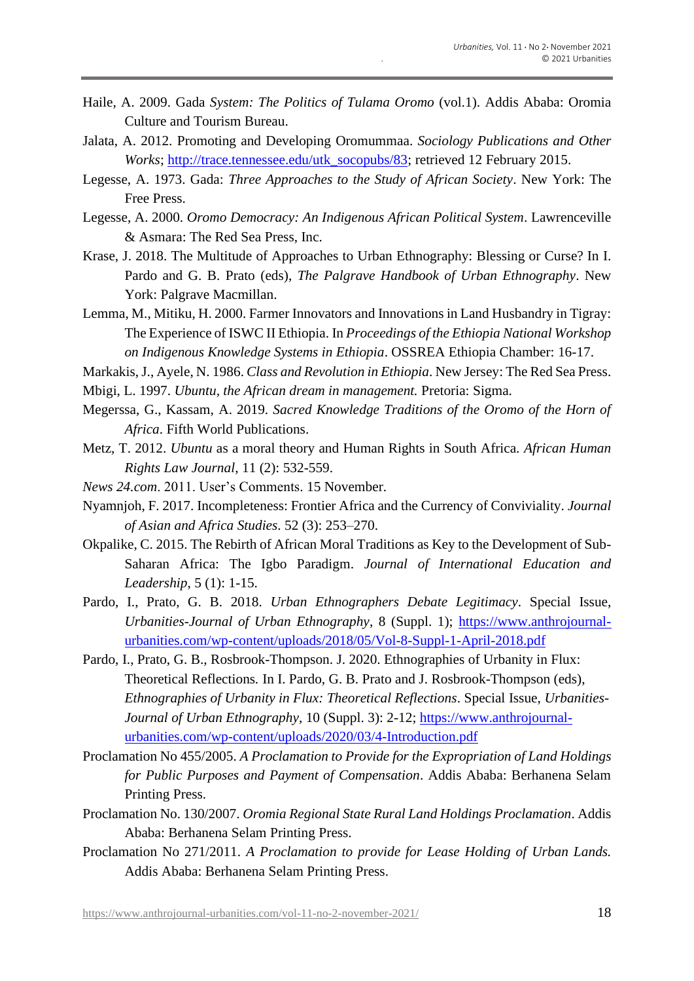- Haile, A. 2009. Gada *System: The Politics of Tulama Oromo* (vol.1). Addis Ababa: Oromia Culture and Tourism Bureau.
- Jalata, A. 2012. Promoting and Developing Oromummaa. *Sociology Publications and Other Works*; [http://trace.tennessee.edu/utk\\_socopubs/83;](http://trace.tennessee.edu/utk_socopubs/83) retrieved 12 February 2015.
- Legesse, A. 1973. Gada: *Three Approaches to the Study of African Society*. New York: The Free Press.
- Legesse, A. 2000. *Oromo Democracy: An Indigenous African Political System*. Lawrenceville & Asmara: The Red Sea Press, Inc.
- Krase, J. 2018. The Multitude of Approaches to Urban Ethnography: Blessing or Curse? In I. Pardo and G. B. Prato (eds), *The Palgrave Handbook of Urban Ethnography*. New York: Palgrave Macmillan.
- Lemma, M., Mitiku, H. 2000. Farmer Innovators and Innovations in Land Husbandry in Tigray: The Experience of ISWC II Ethiopia. In *Proceedings of the Ethiopia National Workshop on Indigenous Knowledge Systems in Ethiopia*. OSSREA Ethiopia Chamber: 16-17.
- Markakis, J., Ayele, N. 1986. *Class and Revolution in Ethiopia*. New Jersey: The Red Sea Press.
- Mbigi, L. 1997. *Ubuntu, the African dream in management.* Pretoria: Sigma.
- Megerssa, G., Kassam, A. 2019. *Sacred Knowledge Traditions of the Oromo of the Horn of Africa*. Fifth World Publications.
- Metz, T. 2012. *Ubuntu* as a moral theory and Human Rights in South Africa. *African Human Rights Law Journal*, 11 (2): 532-559.
- *News 24.com*. 2011. User's Comments. 15 November.
- Nyamnjoh, F. 2017. Incompleteness: Frontier Africa and the Currency of Conviviality. *Journal of Asian and Africa Studies*. 52 (3): 253–270.
- Okpalike, C. 2015. The Rebirth of African Moral Traditions as Key to the Development of Sub-Saharan Africa: The Igbo Paradigm. *Journal of International Education and Leadership*, 5 (1): 1-15.
- Pardo, I., Prato, G. B. 2018. *Urban Ethnographers Debate Legitimacy*. Special Issue, *Urbanities-Journal of Urban Ethnography*, 8 (Suppl. 1); [https://www.anthrojournal](https://www.anthrojournal-urbanities.com/wp-content/uploads/2018/05/Vol-8-Suppl-1-April-2018.pdf)[urbanities.com/wp-content/uploads/2018/05/Vol-8-Suppl-1-April-2018.pdf](https://www.anthrojournal-urbanities.com/wp-content/uploads/2018/05/Vol-8-Suppl-1-April-2018.pdf)
- Pardo, I., Prato, G. B., Rosbrook-Thompson. J. 2020. Ethnographies of Urbanity in Flux: Theoretical Reflections*.* In I. Pardo, G. B. Prato and J. Rosbrook-Thompson (eds), *Ethnographies of Urbanity in Flux: Theoretical Reflections*. Special Issue, *Urbanities-Journal of Urban Ethnography*, 10 (Suppl. 3): 2-12; [https://www.anthrojournal](https://www.anthrojournal-urbanities.com/wp-content/uploads/2020/03/4-Introduction.pdf)[urbanities.com/wp-content/uploads/2020/03/4-Introduction.pdf](https://www.anthrojournal-urbanities.com/wp-content/uploads/2020/03/4-Introduction.pdf)
- Proclamation No 455/2005. *A Proclamation to Provide for the Expropriation of Land Holdings for Public Purposes and Payment of Compensation*. Addis Ababa: Berhanena Selam Printing Press.
- Proclamation No. 130/2007. *Oromia Regional State Rural Land Holdings Proclamation*. Addis Ababa: Berhanena Selam Printing Press.
- Proclamation No 271/2011. *A Proclamation to provide for Lease Holding of Urban Lands.*  Addis Ababa: Berhanena Selam Printing Press.